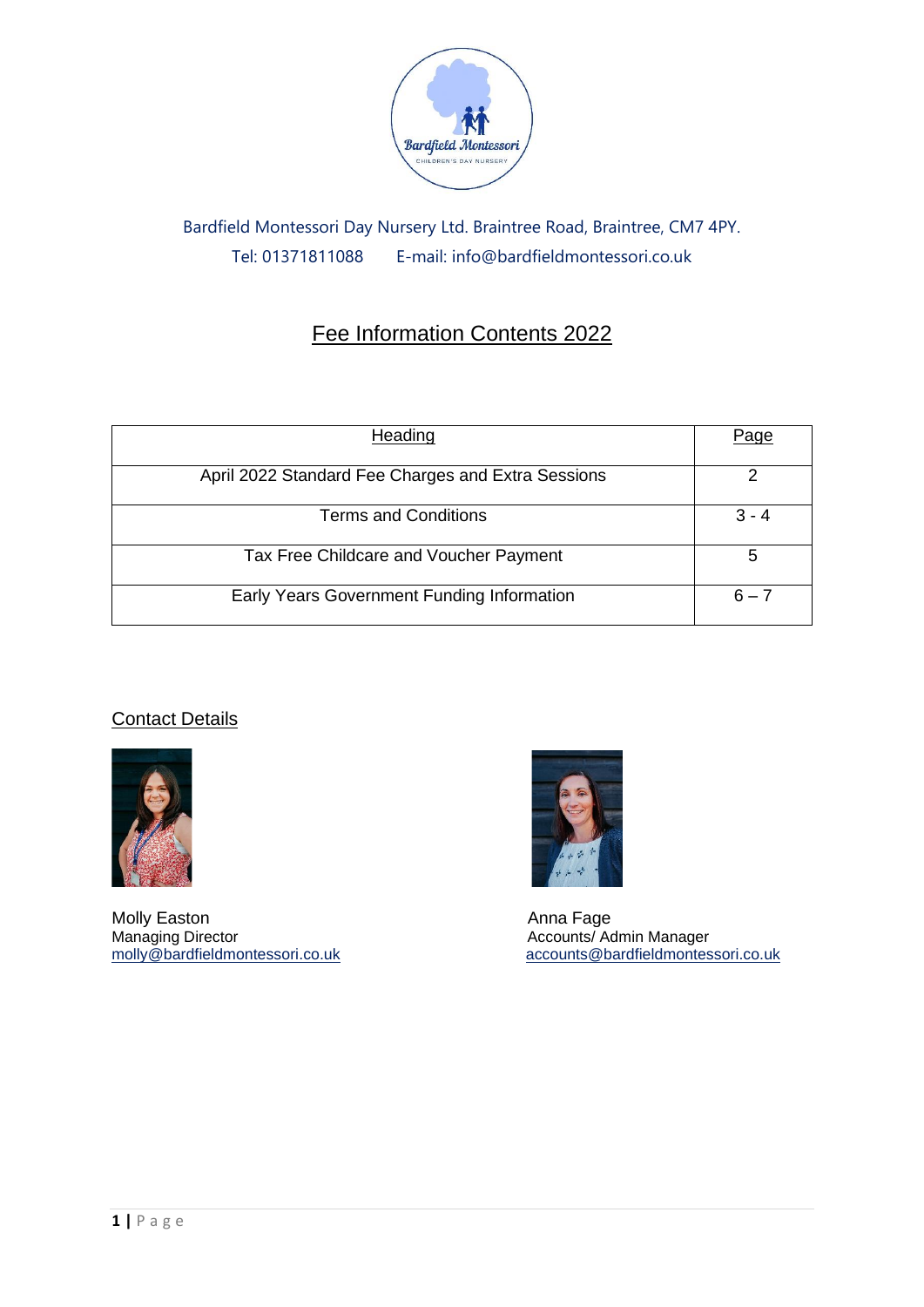

# Bardfield Montessori Day Nursery Ltd. Braintree Road, Braintree, CM7 4PY. Tel: 01371811088 E-mail: info@bardfieldmontessori.co.uk

# Fee Information Contents 2022

| Heading                                            | Page    |
|----------------------------------------------------|---------|
| April 2022 Standard Fee Charges and Extra Sessions |         |
| <b>Terms and Conditions</b>                        | $3 - 4$ |
| Tax Free Childcare and Voucher Payment             | 5       |
| Early Years Government Funding Information         | $6 - 7$ |

## **Contact Details**



Molly Easton<br>
Managing Director<br>
Managing Director<br>
Accounts/Accounts/Accounts



Accounts/ Admin Manager [molly@bardfieldmontessori.co.uk](mailto:molly@bardfieldmontessori.co.uk) [accounts@bardfieldmontessori.co.uk](mailto:accounts@bardfieldmontessori.co.uk)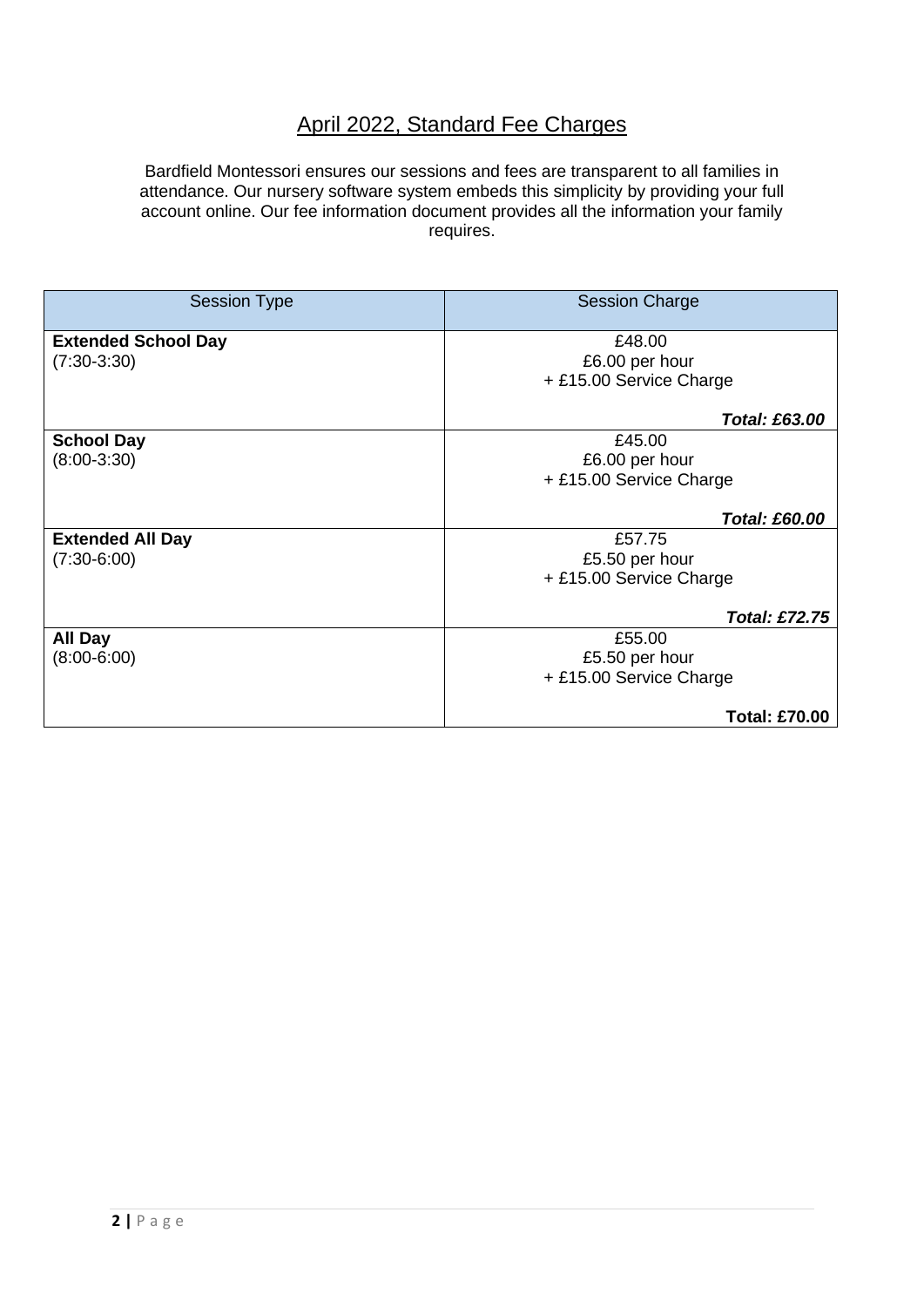## April 2022, Standard Fee Charges

Bardfield Montessori ensures our sessions and fees are transparent to all families in attendance. Our nursery software system embeds this simplicity by providing your full account online. Our fee information document provides all the information your family requires.

| <b>Session Type</b>        | <b>Session Charge</b>   |  |
|----------------------------|-------------------------|--|
| <b>Extended School Day</b> | £48.00                  |  |
| $(7:30-3:30)$              | £6.00 per hour          |  |
|                            | + £15.00 Service Charge |  |
|                            | <b>Total: £63.00</b>    |  |
| <b>School Day</b>          | £45.00                  |  |
| $(8:00-3:30)$              | £6.00 per hour          |  |
|                            | + £15.00 Service Charge |  |
|                            | <b>Total: £60.00</b>    |  |
| <b>Extended All Day</b>    | £57.75                  |  |
| $(7:30-6:00)$              | £5.50 per hour          |  |
|                            | + £15.00 Service Charge |  |
|                            | Total: £72.75           |  |
| <b>All Day</b>             | £55.00                  |  |
| $(8:00-6:00)$              | £5.50 per hour          |  |
|                            | + £15.00 Service Charge |  |
|                            | <b>Total: £70.00</b>    |  |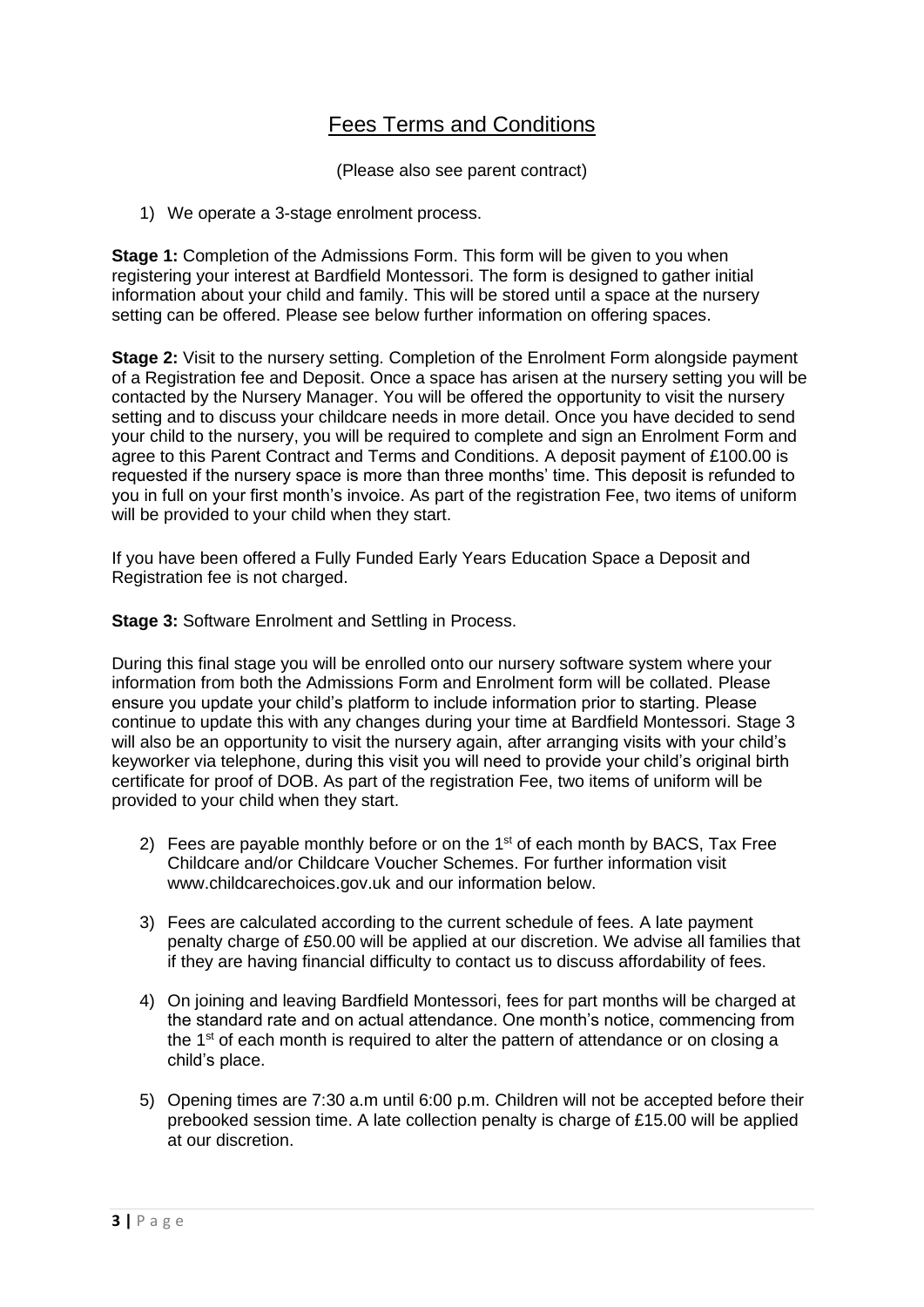## Fees Terms and Conditions

(Please also see parent contract)

1) We operate a 3-stage enrolment process.

**Stage 1:** Completion of the Admissions Form. This form will be given to you when registering your interest at Bardfield Montessori. The form is designed to gather initial information about your child and family. This will be stored until a space at the nursery setting can be offered. Please see below further information on offering spaces.

**Stage 2:** Visit to the nursery setting. Completion of the Enrolment Form alongside payment of a Registration fee and Deposit. Once a space has arisen at the nursery setting you will be contacted by the Nursery Manager. You will be offered the opportunity to visit the nursery setting and to discuss your childcare needs in more detail. Once you have decided to send your child to the nursery, you will be required to complete and sign an Enrolment Form and agree to this Parent Contract and Terms and Conditions. A deposit payment of £100.00 is requested if the nursery space is more than three months' time. This deposit is refunded to you in full on your first month's invoice. As part of the registration Fee, two items of uniform will be provided to your child when they start.

If you have been offered a Fully Funded Early Years Education Space a Deposit and Registration fee is not charged.

**Stage 3: Software Enrolment and Settling in Process.** 

During this final stage you will be enrolled onto our nursery software system where your information from both the Admissions Form and Enrolment form will be collated. Please ensure you update your child's platform to include information prior to starting. Please continue to update this with any changes during your time at Bardfield Montessori. Stage 3 will also be an opportunity to visit the nursery again, after arranging visits with your child's keyworker via telephone, during this visit you will need to provide your child's original birth certificate for proof of DOB. As part of the registration Fee, two items of uniform will be provided to your child when they start.

- 2) Fees are payable monthly before or on the  $1<sup>st</sup>$  of each month by BACS, Tax Free Childcare and/or Childcare Voucher Schemes. For further information visit www.childcarechoices.gov.uk and our information below.
- 3) Fees are calculated according to the current schedule of fees. A late payment penalty charge of £50.00 will be applied at our discretion. We advise all families that if they are having financial difficulty to contact us to discuss affordability of fees.
- 4) On joining and leaving Bardfield Montessori, fees for part months will be charged at the standard rate and on actual attendance. One month's notice, commencing from the  $1<sup>st</sup>$  of each month is required to alter the pattern of attendance or on closing a child's place.
- 5) Opening times are 7:30 a.m until 6:00 p.m. Children will not be accepted before their prebooked session time. A late collection penalty is charge of £15.00 will be applied at our discretion.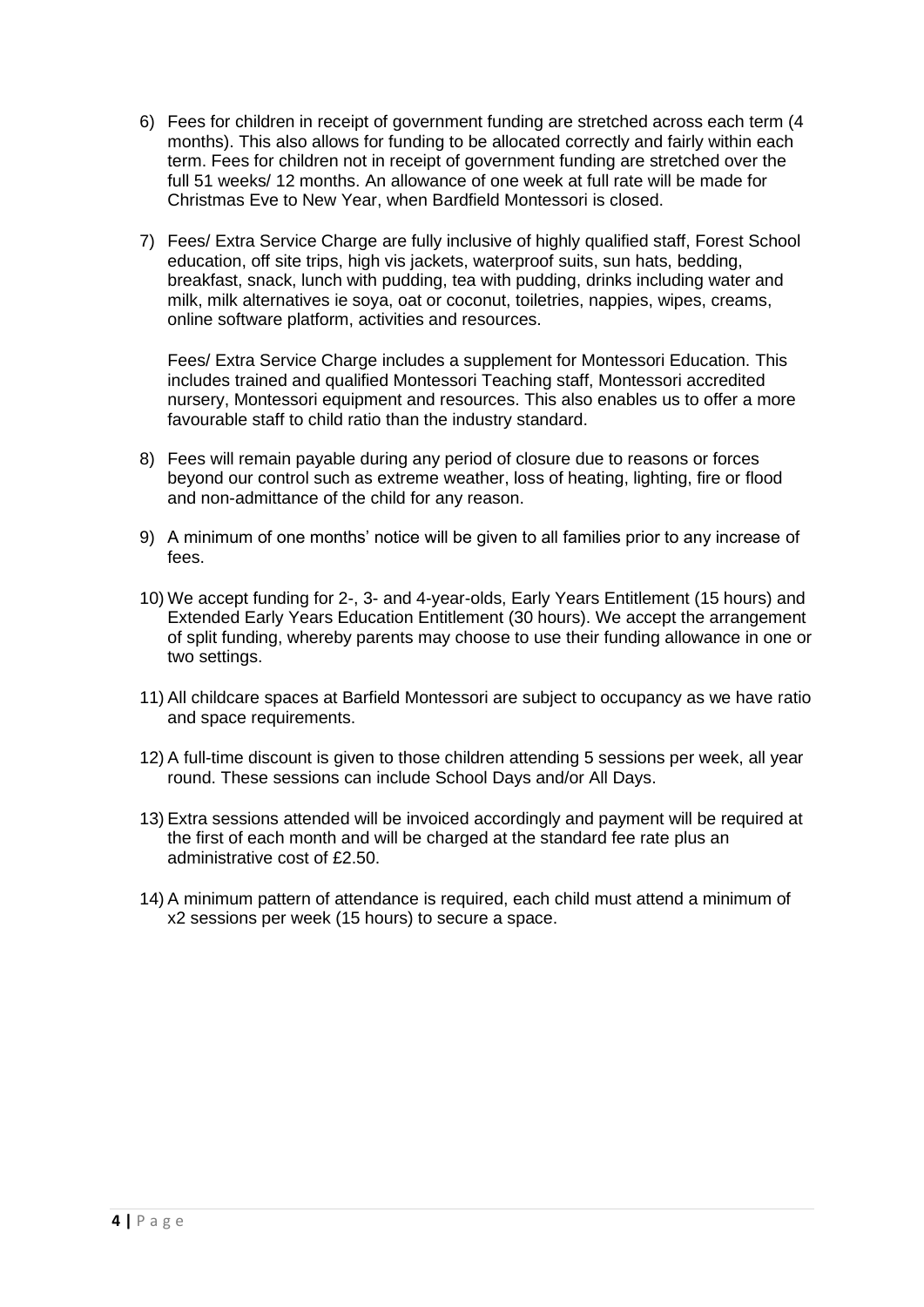- 6) Fees for children in receipt of government funding are stretched across each term (4 months). This also allows for funding to be allocated correctly and fairly within each term. Fees for children not in receipt of government funding are stretched over the full 51 weeks/ 12 months. An allowance of one week at full rate will be made for Christmas Eve to New Year, when Bardfield Montessori is closed.
- 7) Fees/ Extra Service Charge are fully inclusive of highly qualified staff, Forest School education, off site trips, high vis jackets, waterproof suits, sun hats, bedding, breakfast, snack, lunch with pudding, tea with pudding, drinks including water and milk, milk alternatives ie soya, oat or coconut, toiletries, nappies, wipes, creams, online software platform, activities and resources.

Fees/ Extra Service Charge includes a supplement for Montessori Education. This includes trained and qualified Montessori Teaching staff, Montessori accredited nursery, Montessori equipment and resources. This also enables us to offer a more favourable staff to child ratio than the industry standard.

- 8) Fees will remain payable during any period of closure due to reasons or forces beyond our control such as extreme weather, loss of heating, lighting, fire or flood and non-admittance of the child for any reason.
- 9) A minimum of one months' notice will be given to all families prior to any increase of fees.
- 10) We accept funding for 2-, 3- and 4-year-olds, Early Years Entitlement (15 hours) and Extended Early Years Education Entitlement (30 hours). We accept the arrangement of split funding, whereby parents may choose to use their funding allowance in one or two settings.
- 11) All childcare spaces at Barfield Montessori are subject to occupancy as we have ratio and space requirements.
- 12) A full-time discount is given to those children attending 5 sessions per week, all year round. These sessions can include School Days and/or All Days.
- 13) Extra sessions attended will be invoiced accordingly and payment will be required at the first of each month and will be charged at the standard fee rate plus an administrative cost of £2.50.
- 14) A minimum pattern of attendance is required, each child must attend a minimum of x2 sessions per week (15 hours) to secure a space.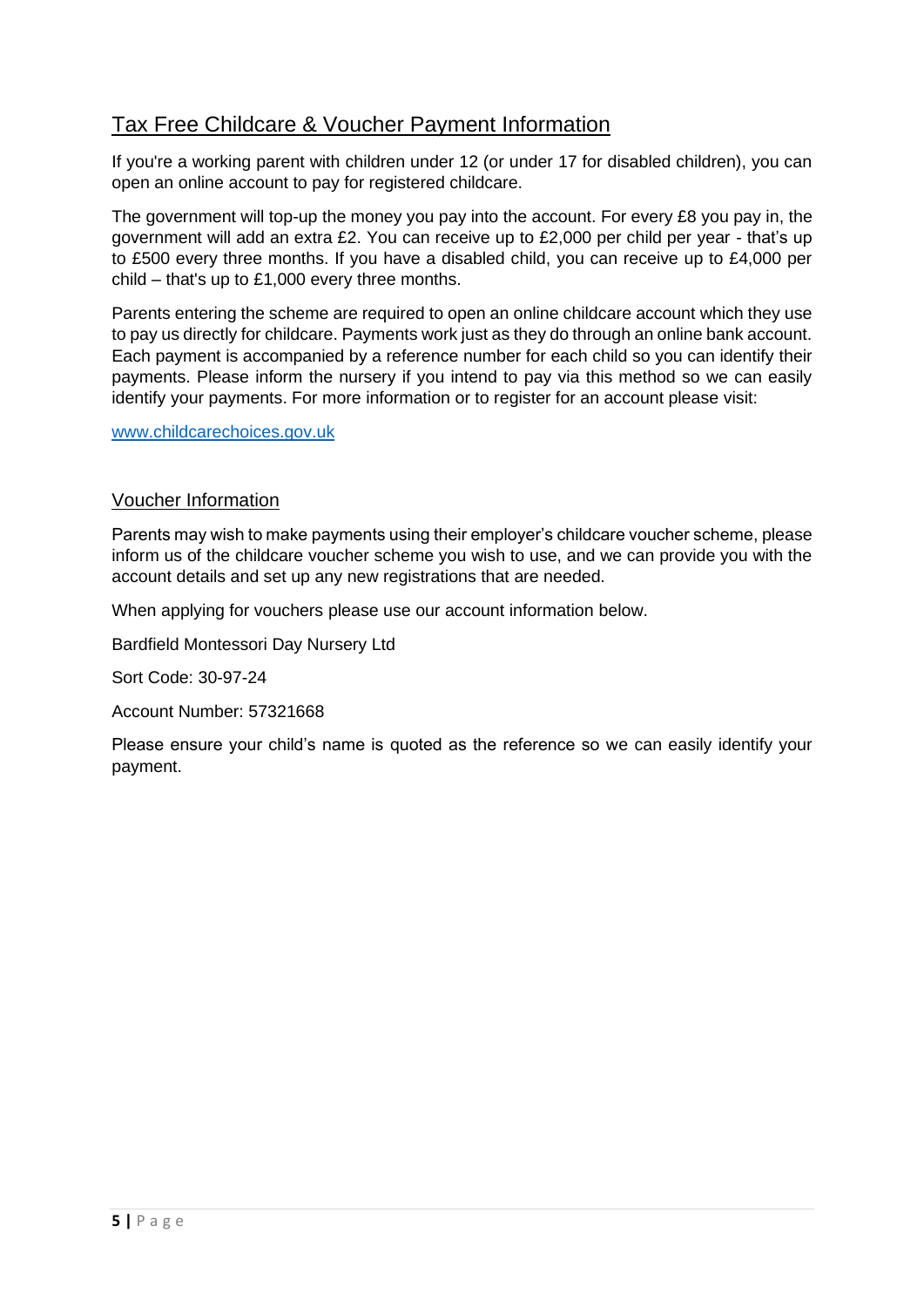## Tax Free Childcare & Voucher Payment Information

If you're a working parent with children under 12 (or under 17 for disabled children), you can open an online account to pay for registered childcare.

The government will top-up the money you pay into the account. For every £8 you pay in, the government will add an extra £2. You can receive up to £2,000 per child per year - that's up to £500 every three months. If you have a disabled child, you can receive up to £4,000 per child – that's up to £1,000 every three months.

Parents entering the scheme are required to open an online childcare account which they use to pay us directly for childcare. Payments work just as they do through an online bank account. Each payment is accompanied by a reference number for each child so you can identify their payments. Please inform the nursery if you intend to pay via this method so we can easily identify your payments. For more information or to register for an account please visit:

### [www.childcarechoices.gov.uk](http://www.childcarechoices.gov.uk/)

## Voucher Information

Parents may wish to make payments using their employer's childcare voucher scheme, please inform us of the childcare voucher scheme you wish to use, and we can provide you with the account details and set up any new registrations that are needed.

When applying for vouchers please use our account information below.

Bardfield Montessori Day Nursery Ltd

Sort Code: 30-97-24

Account Number: 57321668

Please ensure your child's name is quoted as the reference so we can easily identify your payment.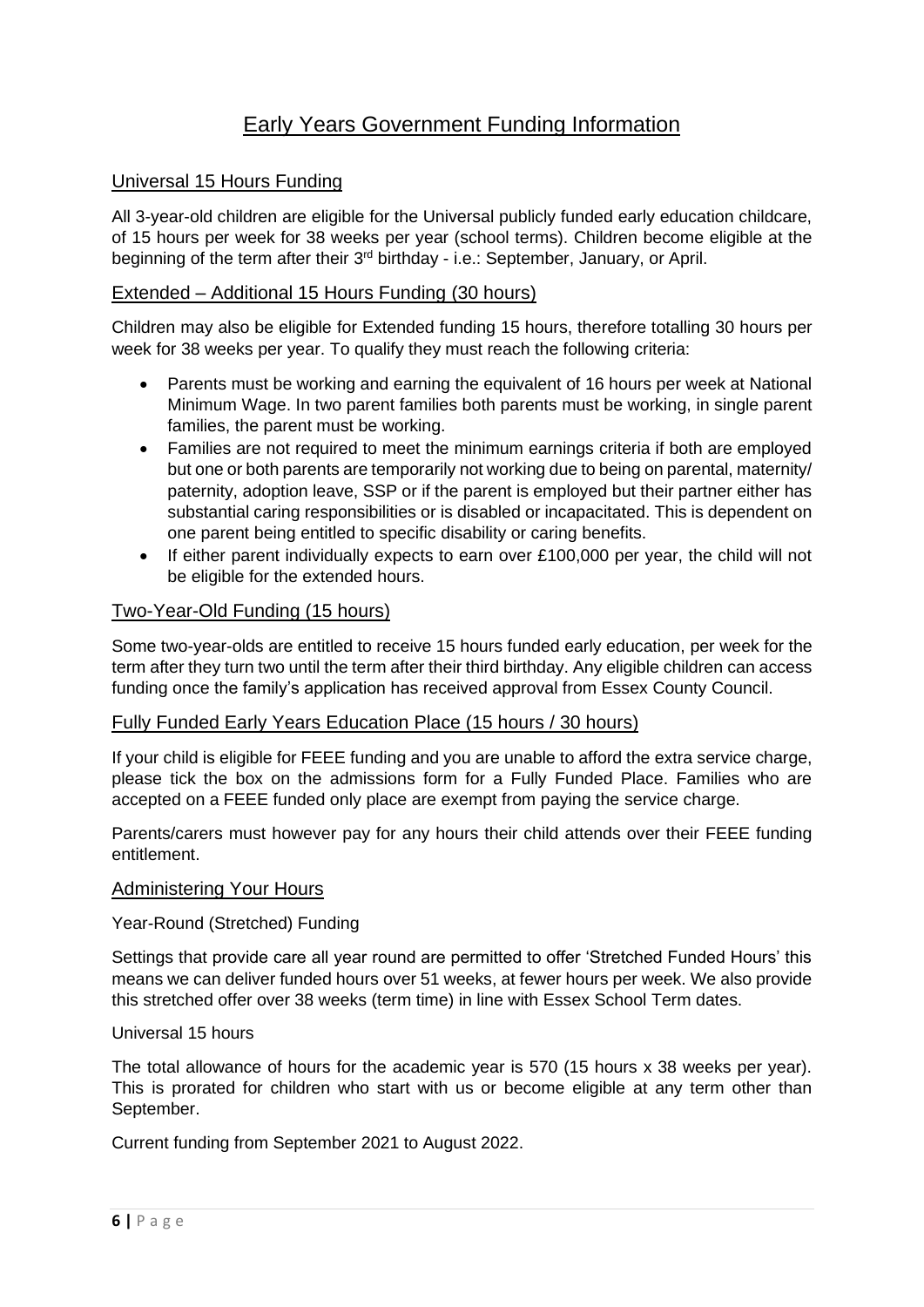## Early Years Government Funding Information

## Universal 15 Hours Funding

All 3-year-old children are eligible for the Universal publicly funded early education childcare, of 15 hours per week for 38 weeks per year (school terms). Children become eligible at the beginning of the term after their 3rd birthday - i.e.: September, January, or April.

## Extended – Additional 15 Hours Funding (30 hours)

Children may also be eligible for Extended funding 15 hours, therefore totalling 30 hours per week for 38 weeks per year. To qualify they must reach the following criteria:

- Parents must be working and earning the equivalent of 16 hours per week at National Minimum Wage. In two parent families both parents must be working, in single parent families, the parent must be working.
- Families are not required to meet the minimum earnings criteria if both are employed but one or both parents are temporarily not working due to being on parental, maternity/ paternity, adoption leave, SSP or if the parent is employed but their partner either has substantial caring responsibilities or is disabled or incapacitated. This is dependent on one parent being entitled to specific disability or caring benefits.
- If either parent individually expects to earn over £100,000 per year, the child will not be eligible for the extended hours.

## Two-Year-Old Funding (15 hours)

Some two-year-olds are entitled to receive 15 hours funded early education, per week for the term after they turn two until the term after their third birthday. Any eligible children can access funding once the family's application has received approval from Essex County Council.

## Fully Funded Early Years Education Place (15 hours / 30 hours)

If your child is eligible for FEEE funding and you are unable to afford the extra service charge, please tick the box on the admissions form for a Fully Funded Place. Families who are accepted on a FEEE funded only place are exempt from paying the service charge.

Parents/carers must however pay for any hours their child attends over their FEEE funding entitlement.

#### Administering Your Hours

#### Year-Round (Stretched) Funding

Settings that provide care all year round are permitted to offer 'Stretched Funded Hours' this means we can deliver funded hours over 51 weeks, at fewer hours per week. We also provide this stretched offer over 38 weeks (term time) in line with Essex School Term dates.

#### Universal 15 hours

The total allowance of hours for the academic year is 570 (15 hours x 38 weeks per year). This is prorated for children who start with us or become eligible at any term other than September.

Current funding from September 2021 to August 2022.